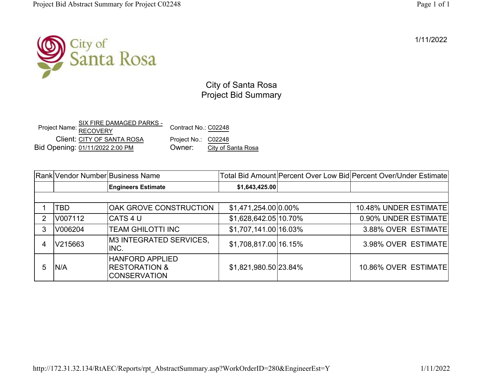1/11/2022



City of Santa Rosa Project Bid Summary

Project Name: <u>SIX FIRE DAMAGED PARKS -</u><br>RECOVERY Client: CITY OF SANTA ROSA Contract No.: C02248Project No.: C02248City of Santa Rosa Bid Opening: 01/11/2022 2:00 PM Owner:

|            | Rank Vendor Number Business Name                                          |                       | Total Bid Amount Percent Over Low Bid Percent Over/Under Estimate |
|------------|---------------------------------------------------------------------------|-----------------------|-------------------------------------------------------------------|
|            | <b>Engineers Estimate</b>                                                 | \$1,643,425.00        |                                                                   |
|            |                                                                           |                       |                                                                   |
| <b>TBD</b> | OAK GROVE CONSTRUCTION                                                    | \$1,471,254.00 0.00%  | 10.48% UNDER ESTIMATE                                             |
| V007112    | CATS 4 U                                                                  | \$1,628,642.05 10.70% | 0.90% UNDER ESTIMATE                                              |
| V006204    | TEAM GHILOTTI INC                                                         | \$1,707,141.00 16.03% | 3.88% OVER ESTIMATE                                               |
| V215663    | <b>M3 INTEGRATED SERVICES,</b><br>INC.                                    | \$1,708,817.00 16.15% | 3.98% OVER ESTIMATE                                               |
| N/A        | <b>HANFORD APPLIED</b><br><b>RESTORATION &amp;</b><br><b>CONSERVATION</b> | \$1,821,980.50 23.84% | 10.86% OVER ESTIMATE                                              |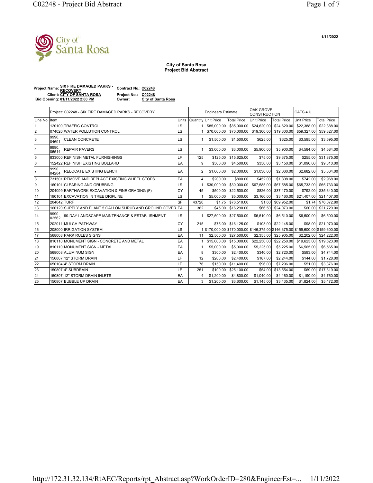## **City of Santa Rosa Project Bid Abstract**

| <b>Project Name: SIX FIRE DAMAGED PARKS -</b> | <b>Contract No.: C02248</b> |                           |  |  |
|-----------------------------------------------|-----------------------------|---------------------------|--|--|
|                                               |                             |                           |  |  |
| <b>Client: CITY OF SANTA ROSA</b>             | <b>Project No.:</b>         | C02248                    |  |  |
| Bid Opening: 01/11/2022 2:00 PM               | Owner:                      | <b>City of Santa Rosa</b> |  |  |
|                                               |                             |                           |  |  |

|                | Project: C02248 - SIX FIRE DAMAGED PARKS - RECOVERY |                                                            |           |                | <b>Engineers Estimate</b>                                                     |                     | <b>OAK GROVE</b><br>CONSTRUCTION |                    | CATS 4 U          |                    |
|----------------|-----------------------------------------------------|------------------------------------------------------------|-----------|----------------|-------------------------------------------------------------------------------|---------------------|----------------------------------|--------------------|-------------------|--------------------|
| Line No.IItem  |                                                     |                                                            | Units     |                | Quantity Unit Price                                                           | <b>Total Price</b>  | Unit Price                       | <b>Total Price</b> | <b>Unit Price</b> | <b>Total Price</b> |
|                |                                                     | 120100 TRAFFIC CONTROL                                     | LS        |                | \$85,000.00                                                                   | \$85,000,00         | \$24,620.00                      | \$24,620.00        | \$22,388.00       | \$22,388,00        |
| $\overline{2}$ |                                                     | 074020 WATER POLLUTION CONTROL                             | LS        |                | \$70,000.00                                                                   | \$70,000,00         | \$19,300.00                      | \$19,300.00        | \$59,327.00       | \$59,327.00        |
| 3              | 9990.<br>04691                                      | <b>CLEAN CONCRETE</b>                                      | LS        |                | \$1,500.00                                                                    | \$1,500.00          | \$625.00                         | \$625.00           | \$3,595.00        | \$3,595.00         |
| 14             | 9990.<br>06514                                      | <b>REPAIR PAVERS</b>                                       | LS        | $\overline{1}$ | \$3,000.00                                                                    | \$3,000.00          | \$5,900.00                       | \$5,900.00         | \$4,584.00        | \$4,584.00         |
| 5              |                                                     | 833000 REFINISH METAL FURNISHINGS                          | LF        | 125            | \$125.00                                                                      | \$15,625.00         | \$75.00                          | \$9,375.00         | \$255.00          | \$31.875.00        |
| 6              |                                                     | 152422 REFINISH EXISTING BOLLARD                           | EA        | 9              | \$500.00                                                                      | \$4,500.00          | \$350.00                         | \$3,150.00         | \$1,090.00        | \$9,810.00         |
| 17             | 9990.<br>04284                                      | <b>RELOCATE EXISTING BENCH</b>                             | EA        | $\overline{2}$ | \$1,000.00                                                                    | \$2,000.00          | \$1,030.00                       | \$2,060.00         | \$2,682.00        | \$5,364.00         |
| 8              |                                                     | 731501 REMOVE AND REPLACE EXISTING WHEEL STOPS             | EA        | Δ              | \$200.00                                                                      | \$800.00            | \$452.00                         | \$1,808.00         | \$742.00          | \$2,968.00         |
| l9             |                                                     | 160101 CLEARING AND GRUBBING                               | LS        |                | \$30,000.00                                                                   | \$30,000.00         | \$67,585.00                      | \$67,585.00        | \$65,733.00       | \$65,733.00        |
| 110            |                                                     | 204099 EARTHWORK EXCAVATION & FINE GRADING (F)             | CY        | 45             | \$500.00                                                                      | \$22,500.00         | \$826.00                         | \$37,170.00        | \$792.00          | \$35,640.00        |
| 11             |                                                     | 190101 EXCAVATION IN TREE DRIPLINE                         | LS        |                | \$5,000.00                                                                    | \$5,000.00          | \$3,160.00                       | \$3,160.00         | \$21,407.00       | \$21,407.00        |
| 12             | 204042 TURF                                         |                                                            | SF        | 43720          | \$1.75                                                                        | \$76,510.00         | \$1.60                           | \$69,952.00        | \$1.74            | \$76,072.80        |
| 13             |                                                     | 160120 SUPPLY AND PLANT 5 GALLON SHRUB AND GROUND COVER EA |           | 362            | \$45.00                                                                       | \$16,290.00         | \$66.50                          | \$24,073.00        | \$60.00           | \$21,720.00        |
| 14             | 9990.<br>02562                                      | 90-DAY LANDSCAPE MAINTENANCE & ESTABLISHMENT               | <b>LS</b> |                | \$27,500,00                                                                   | \$27,500.00         | \$6,510.00                       | \$6,510.00         | \$6,500.00        | \$6,500.00         |
| 15             |                                                     | 202011 MULCH PATHWAY                                       | CY        | 215            |                                                                               | \$75.00 \$16.125.00 | \$103.00                         | \$22,145.00        | \$98.00           | \$21,070.00        |
| 16             |                                                     | 208000 IRRIGATION SYSTEM                                   | LS        |                | \$170,000.00 \$170,000.00 \$146,375.00 \$146,375.00 \$159,600.00 \$159,600.00 |                     |                                  |                    |                   |                    |
| 17             |                                                     | 568008 PARK RULES SIGNS                                    | EA        | 11             | \$2,500.00                                                                    | \$27,500.00         | \$2,355.00                       | \$25,905.00        | \$2,202.00        | \$24,222.00        |
| 18             |                                                     | 810110 MONUMENT SIGN - CONCRETE AND METAL                  | EA        |                | \$15,000.00                                                                   | \$15,000.00         | \$22,250.00                      | \$22,250.00        | \$19,623.00       | \$19,623.00        |
| 19             |                                                     | 810110 MONUMENT SIGN - METAL                               | EA        |                | \$5,000.00                                                                    | \$5,000.00          | \$5,225.00                       | \$5,225.00         | \$6,565.00        | \$6,565.00         |
| 20             |                                                     | 568008 ALUMINUM SIGN                                       | EA        | 8              | \$300.00                                                                      | \$2,400.00          | \$340.00                         | \$2,720.00         | \$593.00          | \$4,744.00         |
| 21             |                                                     | 150807 12" STORM DRAIN                                     | LF        | 12             | \$200.00                                                                      | \$2,400.00          | \$187.00                         | \$2,244.00         | \$144.00          | \$1,728.00         |
| 22             |                                                     | 650104 4" STORM DRAIN                                      | LF        | 76             | \$150.00                                                                      | \$11,400.00         | \$96.00                          | \$7,296.00         | \$51.00           | \$3,876.00         |
| 23             |                                                     | 1508074" SUBDRAIN                                          | LF        | 251            | \$100.00                                                                      | \$25,100.00         | \$54.00                          | \$13,554.00        | \$69.00           | \$17,319.00        |
| 24             |                                                     | 150807 12" STORM DRAIN INLETS                              | EA        | Δ              | \$1,200.00                                                                    | \$4,800.00          | \$1,040.00                       | \$4,160.00         | \$1,190.00        | \$4,760.00         |
| 25             |                                                     | 150807 BUBBLE UP DRAIN                                     | EA        | 3              | \$1,200.00                                                                    | \$3,600.00          | \$1,145.00                       | \$3,435.00         | \$1,824.00        | \$5,472.00         |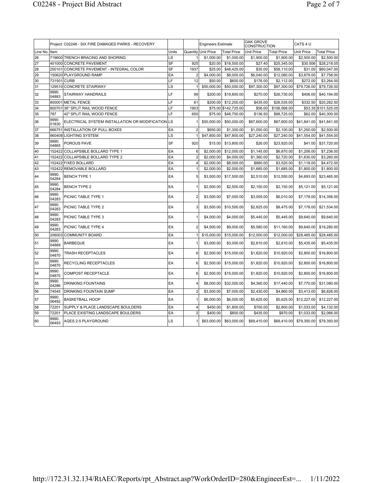|               | Project: C02248 - SIX FIRE DAMAGED PARKS - RECOVERY |                                                   |           |                | <b>Engineers Estimate</b> |                      | <b>OAK GROVE</b><br><b>CONSTRUCTION</b> |                    | CATS 4 U          |                    |
|---------------|-----------------------------------------------------|---------------------------------------------------|-----------|----------------|---------------------------|----------------------|-----------------------------------------|--------------------|-------------------|--------------------|
| Line No. Item |                                                     |                                                   | Units     |                | Quantity Unit Price       | <b>Total Price</b>   | <b>Unit Price</b>                       | <b>Total Price</b> | <b>Unit Price</b> | <b>Total Price</b> |
| 26            |                                                     | 719600 TRENCH BRACING AND SHORING                 | lls       | $\mathbf{1}$   | \$1,000.00                | \$1,000.00           | \$1,900.00                              | \$1,900.00         | \$2,500.00        | \$2,500.00         |
| 27            |                                                     | 401000 CONCRETE PAVEMENT                          | lsF       | 925            | \$20.00                   | \$18,500.00          | \$27.40                                 | \$25,345.00        | \$30.506          | \$28,218.05        |
| 28            |                                                     | 250101 CONCRETE PAVEMENT - INTEGRAL COLOR         | <b>SF</b> | 1937           | \$25.00                   | \$48,425.00          | \$30.00                                 | \$58,110.00        | \$31.00           | \$60,047.00        |
| 29            |                                                     | 150620 PLAYGROUND RAMP                            | EA        | $\overline{2}$ | \$4,000.00                | \$8,000.00           | \$6,040.00                              | \$12,080.00        | \$3,879.00        | \$7,758.00         |
| 30            | 731501 CURB                                         |                                                   | LF        | 12             | \$50.00                   | \$600.00             | \$176.00                                | \$2,112.00         | \$272.00          | \$3,264.00         |
| 31            |                                                     | 129510 CONCRETE STAIRWAY                          | LS        | $\mathbf{1}$   | \$50,000.00               | \$50,000.00          | \$97,300.00                             | \$97,300.00        | \$79,726.00       | \$79,726.00        |
| 32            | 9990.<br>04883                                      | STAIRWAY HANDRAILS                                | LF        | 99             | \$200.00                  | \$19,800.00          | \$270.00                                | \$26,730.00        | \$406.00          | \$40,194.00        |
| 33            |                                                     | 800001 METAL FENCE                                | lLF       | 61             | \$200.00                  | \$12,200.00          | \$435.00                                | \$26,535.00        | \$332.50          | \$20,282.50        |
| 34            | 800701                                              | 36" SPLIT RAIL WOOD FENCE                         | LF        | 1903           |                           | \$75.00 \$142,725.00 | \$56.00                                 | \$106,568.00       | \$53.35           | \$101,525.05       |
| 35            | 787                                                 | 42" SPLIT RAIL WOOD FENCE                         | LF        | 650            | \$75.00                   | \$48,750.00          | \$136.50                                | \$88,725.00        | \$62.00           | \$40,300.00        |
| 36            | 9990.<br>01830                                      | ELECTRICAL SYSTEM INSTALLATION OR MODIFICATION LS |           | 1              | \$50,000.00               | \$50,000.00          | \$67,600.00                             | \$67,600.00        | \$41,841.00       | \$41,841.00        |
| 37            |                                                     | 666751 INSTALLATION OF PULL BOXES                 | EA        | $\overline{2}$ | \$650.00                  | \$1,300.00           | \$1,050.00                              | \$2,100.00         | \$1,250.00        | \$2,500.00         |
| 38            |                                                     | 860408 LIGHTING SYSTEM                            | LS        | $\mathbf{1}$   | \$47,800.00               | \$47,800.00          | \$27,240.00                             | \$27,240.00        | \$41,554.00       | \$41,554.00        |
| 39            | 9990.<br>04865                                      | POROUS PAVE                                       | <b>SF</b> | 920            | \$15.00                   | \$13,800.00          | \$26.00                                 | \$23,920.00        | \$41.00           | \$37,720.00        |
| 40            | 152422                                              | COLLAPSIBLE BOLLARD TYPE 1                        | EA        | 6              | \$2,000.00                | \$12,000.00          | \$1,145.00                              | \$6,870.00         | \$1,206.00        | \$7,236,00         |
| 41            | 152422                                              | COLLAPSIBLE BOLLARD TYPE 2                        | EA        | $\overline{2}$ | \$2,000.00                | \$4,000.00           | \$1,360.00                              | \$2,720.00         | \$1,630.00        | \$3,260.00         |
| 42            |                                                     | 152422 FIXED BOLLARD                              | EA        | $\overline{4}$ | \$2,000.00                | \$8,000.00           | \$880.00                                | \$3,520.00         | \$1,118.00        | \$4,472.00         |
| 43            |                                                     | 152422 REMOVABLE BOLLARD                          | EA        | $\overline{1}$ | \$2,000.00                | \$2,000.00           | \$1,685.00                              | \$1,685.00         | \$1,800.00        | \$1,800.00         |
| 44            | 9990.<br>04284                                      | <b>BENCH TYPE 1</b>                               | EA        | 5              | \$3,500.00                | \$17,500.00          | \$2,510.00                              | \$12,550.00        | \$4,693.00        | \$23,465.00        |
| 45            | 9990.<br>04284                                      | <b>BENCH TYPE 2</b>                               | EA        | 1              | \$2,500.00                | \$2,500.00           | \$2,150.00                              | \$2,150.00         | \$5,121.00        | \$5,121.00         |
| 46            | 9990.<br>04283                                      | PICNIC TABLE TYPE 1                               | EA        | $\overline{2}$ | \$3,500.00                | \$7,000.00           | \$3,005.00                              | \$6,010.00         | \$7,178.00        | \$14,356.00        |
| 47            | 9990.<br>04283                                      | PICNIC TABLE TYPE 2                               | EA        | 3              | \$3,500.00                | \$10,500.00          | \$2,825.00                              | \$8,475.00         | \$7,178.00        | \$21,534.00        |
| 48            | 9990.<br>04283                                      | PICNIC TABLE TYPE 3                               | EA        | 1              | \$4,000.00                | \$4,000.00           | \$5,445.00                              | \$5,445.00         | \$9,640.00        | \$9,640.00         |
| 49            | 9990.<br>04283                                      | PICNIC TABLE TYPE 4                               | <b>EA</b> | 2              | \$4,500.00                | \$9,000.00           | \$5,580.00                              | \$11,160.00        | \$9,640.00        | \$19,280.00        |
| 50            | 206003                                              | COMMUNITY BOARD                                   | EA        | $\mathbf{1}$   | \$15,000.00               | \$15,000.00          | \$12,000.00                             | \$12,000.00        | \$28,485.00       | \$28,485.00        |
| 51            | 9990.<br>04869                                      | <b>BARBEQUE</b>                                   | EA        | 1              | \$3,000.00                | \$3,000.00           | \$2,810.00                              | \$2,810.00         | \$5,435.00        | \$5,435.00         |
| 52            | 9990.<br>04870                                      | TRASH RECEPTACLES                                 | EA        | 6              | \$2,500.00                | \$15,000.00          | \$1,820.00                              | \$10,920.00        | \$2,800.00        | \$16,800.00        |
| 53            | 9990.<br>04870                                      | RECYCLING RECEPTACLES                             | EA        | 6              | \$2,500.00                | \$15,000.00          | \$1,820.00                              | \$10,920.00        | \$2,800.00        | \$16,800.00        |
| 54            | 9990.<br>04870                                      | COMPOST RECEPTACLE                                | EA        | 6              | \$2,500.00                | \$15,000.00          | \$1,820.00                              | \$10,920.00        | \$2,800.00        | \$16,800.00        |
| 55            | 9990.<br>04286                                      | <b>DRINKING FOUNTAINS</b>                         | <b>EA</b> | 4              | \$8,000.00                | \$32,000.00          | \$4,360.00                              | \$17,440.00        | \$7,770.00        | \$31,080.00        |
| 56            | 74545                                               | DRINKING FOUNTAIN SUMP                            | EA        | $\overline{2}$ | \$3,500.00                | \$7,000.00           | \$2,430.00                              | \$4,860.00         | \$3,413.00        | \$6,826.00         |
| 57            | 9990.<br>06492                                      | <b>BASKETBALL HOOP</b>                            | EA        | $\mathbf{1}$   | \$6,000.00                | \$6,000.00           | \$5,625.00                              | \$5,625.00         | \$12,227.00       | \$12,227.00        |
| 58            | 72201                                               | SUPPLY & PLACE LANDSCAPE BOULDERS                 | EA        | 4              | \$450.00                  | \$1,800.00           | \$700.00                                | \$2,800.00         | \$1,033.00        | \$4,132.00         |
| 59            | 72201                                               | PLACE EXISTING LANDSCAPE BOULDERS                 | EA        | $\overline{2}$ | \$400.00                  | \$800.00             | \$435.00                                | \$870.00           | \$1,033.00        | \$2,066.00         |
| 60            | 9990.<br>06493                                      | AGES 2-5 PLAYGROUND                               | LS        |                | \$63,000.00               | \$63,000.00          | \$69,410.00                             | \$69,410.00        | \$79,350.00       | \$79,350.00        |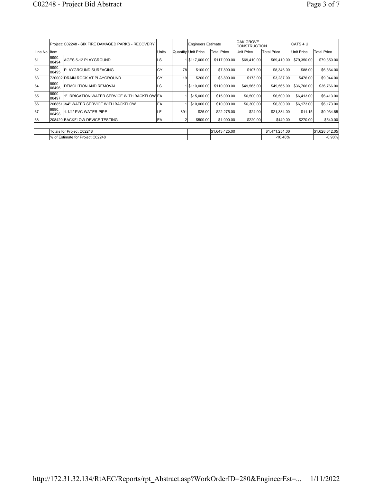|                | Project: C02248 - SIX FIRE DAMAGED PARKS - RECOVERY |                                              |            |     | Engineers Estimate  |                    | OAK GROVE<br><b>CONSTRUCTION</b> |                    | ICATS 4 U   |                    |  |
|----------------|-----------------------------------------------------|----------------------------------------------|------------|-----|---------------------|--------------------|----------------------------------|--------------------|-------------|--------------------|--|
| Line No. Iltem | <b>Units</b>                                        |                                              |            |     | Quantity Unit Price | <b>Total Price</b> | Unit Price                       | <b>Total Price</b> | Unit Price  | <b>Total Price</b> |  |
| 61             | 9990.<br>06494                                      | AGES 5-12 PLAYGROUND                         | LS         |     | 15117,000.00        | \$117,000.00       | \$69,410.00                      | \$69,410.00        | \$79,350.00 | \$79,350.00        |  |
| 62             | 9990.<br>06495                                      | PLAYGROUND SURFACING                         | <b>ICY</b> | 78  | \$100.00            | \$7,800.00         | \$107.00                         | \$8,346.00         | \$88.00     | \$6,864.00         |  |
| 63             |                                                     | 720002 DRAIN ROCK AT PLAYGROUND              | lcy        | 19  | \$200.00            | \$3,800.00         | \$173.00                         | \$3,287.00         | \$476.00    | \$9,044.00         |  |
| 64             | 9990.<br>06496                                      | <b>DEMOLITION AND REMOVAL</b>                | lls        |     | 15110.000.00        | \$110,000.00       | \$49,565.00                      | \$49,565.00        | \$36,766.00 | \$36,766.00        |  |
| 65             | 9990.<br>06497                                      | 1" IRRIGATION WATER SERVICE WITH BACKFLOW EA |            |     | \$15,000.00         | \$15,000.00        | \$6,500.00                       | \$6,500.00         | \$6,413.00  | \$6,413.00         |  |
| 66             |                                                     | 206851 3/4" WATER SERVICE WITH BACKFLOW      | EA         |     | \$10,000.00         | \$10,000.00        | \$6,300.00                       | \$6,300.00         | \$6,173.00  | \$6,173.00         |  |
| 67             | 9990.<br>06498                                      | 1-1/4" PVC WATER PIPE                        | LF         | 891 | \$25.00             | \$22,275.00        | \$24.00                          | \$21,384.00        | \$11.15     | \$9,934.65         |  |
| 68             |                                                     | 208420 BACKFLOW DEVICE TESTING               | EA         |     | \$500.00            | \$1,000.00         | \$220.00                         | \$440.00           | \$270.00    | \$540.00           |  |
|                |                                                     |                                              |            |     |                     |                    |                                  |                    |             |                    |  |
|                | Totals for Project C02248                           |                                              |            |     |                     | \$1,643,425.00     | \$1,471,254.00                   |                    |             | \$1,628,642.05     |  |
|                |                                                     | % of Estimate for Project C02248             |            |     |                     |                    |                                  | $-10.48%$          |             | $-0.90%$           |  |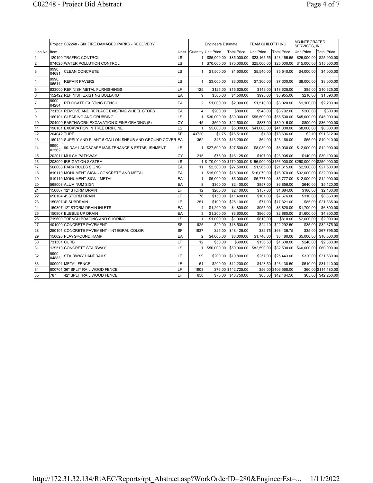|               | Project: C02248 - SIX FIRE DAMAGED PARKS - RECOVERY |                                                            |           |                | <b>Engineers Estimate</b>                                                       |                      | <b>TEAM GHILOTTI INC</b> |                      | M3 INTEGRATED<br>SERVICES, INC. |                      |
|---------------|-----------------------------------------------------|------------------------------------------------------------|-----------|----------------|---------------------------------------------------------------------------------|----------------------|--------------------------|----------------------|---------------------------------|----------------------|
| Line No.IItem |                                                     |                                                            | Units     |                | Quantity Unit Price                                                             | <b>Total Price</b>   | <b>Unit Price</b>        | <b>Total Price</b>   | <b>Unit Price</b>               | <b>Total Price</b>   |
| 11            |                                                     | 120100 TRAFFIC CONTROL                                     | LS        |                | \$85,000.00                                                                     | \$85,000.00          | \$23,165.55              | \$23,165.55          | \$25,000.00                     | \$25,000.00          |
| l2            |                                                     | 074020 WATER POLLUTION CONTROL                             | LS        |                | \$70,000.00                                                                     | \$70,000.00          | \$25,000.00              | \$25,000.00          | \$15,000.00                     | \$15,000.00          |
| 3             | 9990.<br>04691                                      | <b>CLEAN CONCRETE</b>                                      | LS        |                | \$1,500.00                                                                      | \$1,500.00           | \$5,540.00               | \$5,540.00           | \$4,000.00                      | \$4,000.00           |
| 14            | 9990.<br>06514                                      | <b>REPAIR PAVERS</b>                                       | LS        |                | \$3,000.00                                                                      | \$3,000.00           | \$7,300.00               | \$7,300.00           | \$8,000.00                      | \$8,000.00           |
| 5             |                                                     | 833000 REFINISH METAL FURNISHINGS                          | LF        | 125            | \$125.00                                                                        | \$15,625.00          | \$149.00                 | \$18,625.00          | \$85.00                         | \$10,625.00          |
| 6             |                                                     | 152422 REFINISH EXISTING BOLLARD                           | EA        | 9              | \$500.00                                                                        | \$4,500.00           | \$995.00                 | \$8,955.00           | \$210.00                        | \$1,890.00           |
| 17            | 9990.<br>04284                                      | RELOCATE EXISTING BENCH                                    | EA        | $\overline{2}$ | \$1,000.00                                                                      | \$2,000.00           | \$1,510.00               | \$3,020.00           | \$1,100.00                      | \$2,200.00           |
| 8             | 731501                                              | <b>REMOVE AND REPLACE EXISTING WHEEL STOPS</b>             | EA        | $\overline{4}$ | \$200.00                                                                        | \$800.00             | \$948.00                 | \$3,792.00           | \$200.00                        | \$800.00             |
| 5             |                                                     | 160101 CLEARING AND GRUBBING                               | LS        |                | \$30,000.00                                                                     | \$30,000.00          | \$55,500.00              | \$55,500.00          | \$45,000.00                     | \$45,000.00          |
| 10            |                                                     | 204099 EARTHWORK EXCAVATION & FINE GRADING (F)             | CY        | 45             | \$500.00                                                                        | \$22,500.00          | \$887.00                 | \$39,915.00          | \$800.00                        | \$36,000.00          |
| 11            |                                                     | 190101 EXCAVATION IN TREE DRIPLINE                         | LS        |                | \$5,000.00                                                                      | \$5,000.00           | \$41,000.00              | \$41,000.00          | \$8,000.00                      | \$8,000.00           |
| 12            | 204042 TURF                                         |                                                            | SF        | 43720          | \$1.75                                                                          | \$76,510.00          | \$1.80                   | \$78,696.00          | \$2.10                          | \$91,812.00          |
| 13            |                                                     | 160120 SUPPLY AND PLANT 5 GALLON SHRUB AND GROUND COVER EA |           | 362            | \$45.00                                                                         | \$16,290.00          | \$64.00                  | \$23,168.00          | \$55.00                         | \$19,910.00          |
| 14            | 9990.<br>02562                                      | 90-DAY LANDSCAPE MAINTENANCE & ESTABLISHMENT               | <b>LS</b> |                | \$27,500.00                                                                     | \$27,500.00          | \$8,030.00               | \$8,030.00           | \$12,000.00                     | \$12,000.00          |
| 15            |                                                     | 202011 MULCH PATHWAY                                       | CY        | 215            | \$75.00                                                                         | \$16,125,00          | \$107.00                 | \$23,005.00          | \$140.00                        | \$30,100.00          |
| 16            |                                                     | 208000 RRIGATION SYSTEM                                    | LS        |                | 1\\$170,000.00\\$170,000.00\\$156,900.00\\$156,900.00\\$250,000.00\\$250,000.00 |                      |                          |                      |                                 |                      |
| 17            |                                                     | 568008 PARK RULES SIGNS                                    | EA        | 11             | \$2,500.00                                                                      | \$27,500.00          | \$1,965.00               | \$21,615.00          | \$2,500.00                      | \$27,500.00          |
| 18            |                                                     | 810110 MONUMENT SIGN - CONCRETE AND METAL                  | EA        |                | \$15,000.00                                                                     | \$15,000.00          | \$16,070.00              | \$16,070.00          | \$32,000.00                     | \$32,000.00          |
| 19            |                                                     | 810110 MONUMENT SIGN - METAL                               | EA        | 1              | \$5,000.00                                                                      | \$5,000.00           | \$5,777.00               | \$5,777.00           | \$12,000.00                     | \$12,000.00          |
| 20            |                                                     | 568008 ALUMINUM SIGN                                       | EA        | 8              | \$300.00                                                                        | \$2,400.00           | \$857.00                 | \$6,856.00           | \$640.00                        | \$5,120.00           |
| 21            |                                                     | 150807 12" STORM DRAIN                                     | LF        | 12             | \$200.00                                                                        | \$2,400.00           | \$157.00                 | \$1,884.00           | \$180.00                        | \$2,160.00           |
| 22            |                                                     | 650104 4" STORM DRAIN                                      | LF        | 76             | \$150.00                                                                        | \$11,400.00          | \$101.00                 | \$7,676.00           | \$110.00                        | \$8,360.00           |
| 23            |                                                     | 150807 4" SUBDRAIN                                         | LF        | 251            | \$100.00                                                                        | \$25,100.00          | \$71.00                  | \$17,821.00          | \$85.00                         | \$21,335.00          |
| 24            |                                                     | 150807 12" STORM DRAIN INLETS                              | EA        | $\overline{4}$ | \$1,200.00                                                                      | \$4,800.00           | \$955.00                 | \$3,820.00           | \$1,700.00                      | \$6,800.00           |
| 25            |                                                     | 150807 BUBBLE UP DRAIN                                     | EA        | 3              | \$1,200.00                                                                      | \$3,600.00           | \$960.00                 | \$2,880.00           | \$1,600.00                      | \$4,800.00           |
| 26            |                                                     | 719600 TRENCH BRACING AND SHORING                          | LS        | $\mathbf{1}$   | \$1,000.00                                                                      | \$1,000.00           | \$810.00                 | \$810.00             | \$2,000.00                      | \$2,000.00           |
| 27            |                                                     | 401000 CONCRETE PAVEMENT                                   | <b>SF</b> | 925            | \$20.00                                                                         | \$18,500.00          | \$24.10                  | \$22,292.50          | \$35.00                         | \$32,375.00          |
| 28            |                                                     | 250101 CONCRETE PAVEMENT - INTEGRAL COLOR                  | SF        | 1937           | \$25.00                                                                         | \$48,425.00          | \$32.75                  | \$63,436.75          | \$35.00                         | \$67,795.00          |
| 29            |                                                     | 150620 PLAYGROUND RAMP                                     | EA        | $\overline{2}$ | \$4,000.00                                                                      | \$8,000.00           | \$1,740.00               | \$3,480.00           | \$5,000.00                      | \$10,000.00          |
| 30            | 731501 CURB                                         |                                                            | LF        | 12             | \$50.00                                                                         | \$600.00             | \$136.50                 | \$1,638.00           | \$240.00                        | \$2,880.00           |
| 31            |                                                     | 129510 CONCRETE STAIRWAY                                   | LS        |                | \$50,000.00                                                                     | \$50,000.00          | \$82,590.00              | \$82,590.00          | \$60,000.00                     | \$60,000.00          |
| 32            | 9990.<br>04883                                      | STAIRWAY HANDRAILS                                         | LF        | 99             | \$200.00                                                                        | \$19,800.00          | \$257.00                 | \$25,443.00          | \$320.00                        | \$31,680.00          |
| 33            | 800001                                              | <b>METAL FENCE</b>                                         | LF        | 61             | \$200.00                                                                        | \$12,200.00          | \$428.50                 | \$26,138.50          | \$510.00                        | \$31,110.00          |
| 34            |                                                     | 800701 36" SPLIT RAIL WOOD FENCE                           | LF        | 1903           |                                                                                 | \$75.00 \$142,725.00 |                          | \$56.00 \$106,568.00 |                                 | \$60.00 \$114,180.00 |
| 35            | 787                                                 | 42" SPLIT RAIL WOOD FENCE                                  | LF        | 650            |                                                                                 | \$75.00 \$48,750.00  |                          | \$65.33 \$42,464.50  |                                 | \$65.00 \$42,250.00  |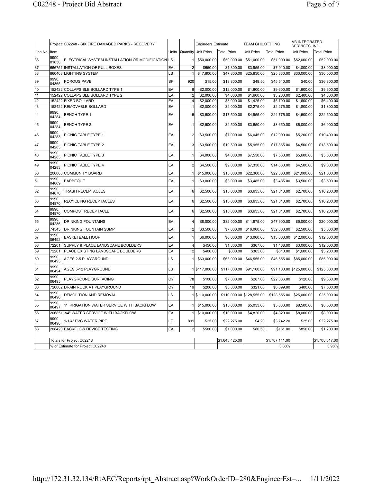|          | Project: C02248 - SIX FIRE DAMAGED PARKS - RECOVERY |                                                   |       |                | <b>Engineers Estimate</b> |                           | <b>TEAM GHILOTTI INC</b> |                    | M3 INTEGRATED<br>SERVICES, INC. |                    |
|----------|-----------------------------------------------------|---------------------------------------------------|-------|----------------|---------------------------|---------------------------|--------------------------|--------------------|---------------------------------|--------------------|
| Line No. | Item                                                |                                                   | Units | Quantity       | <b>Unit Price</b>         | <b>Total Price</b>        | Unit Price               | <b>Total Price</b> | Unit Price                      | <b>Total Price</b> |
| 36       | 9990.<br>01830                                      | ELECTRICAL SYSTEM INSTALLATION OR MODIFICATION LS |       |                | \$50,000.00               | \$50,000.00               | \$51,000.00              | \$51,000.00        | \$52,000.00                     | \$52,000.00        |
| 37       |                                                     | 666751 INSTALLATION OF PULL BOXES                 | EA    | $\overline{2}$ | \$650.00                  | \$1,300.00                | \$3,955.00               | \$7,910.00         | \$4,000.00                      | \$8,000.00         |
| 38       |                                                     | 860408 LIGHTING SYSTEM                            | LS    |                | \$47,800.00               | \$47,800.00               | \$25,830.00              | \$25,830.00        | \$30,000.00                     | \$30,000.00        |
| 39       | 9990.<br>04865                                      | POROUS PAVE                                       | SF    | 920            | \$15.00                   | \$13,800.00               | \$49.50                  | \$45,540.00        | \$40.00                         | \$36,800.00        |
| 40       |                                                     | 152422 COLLAPSIBLE BOLLARD TYPE 1                 | EA    | 6              | \$2,000.00                | \$12,000.00               | \$1,600.00               | \$9,600.00         | \$1,600.00                      | \$9,600.00         |
| 41       |                                                     | 152422 COLLAPSIBLE BOLLARD TYPE 2                 | EA    | $\overline{2}$ | \$2,000.00                | \$4,000.00                | \$1,600.00               | \$3,200.00         | \$2,400.00                      | \$4,800.00         |
| 42       |                                                     | 152422 FIXED BOLLARD                              | EA    | $\overline{4}$ | \$2,000.00                | \$8,000.00                | \$1,425.00               | \$5,700.00         | \$1,600.00                      | \$6,400.00         |
| 43       |                                                     | 152422 REMOVABLE BOLLARD                          | EA    | $\mathbf{1}$   | \$2,000.00                | \$2,000.00                | \$2,275.00               | \$2,275.00         | \$1,800.00                      | \$1,800.00         |
| 44       | 9990.<br>04284                                      | <b>BENCH TYPE 1</b>                               | EA    | 5              | \$3,500.00                | \$17,500.00               | \$4,955.00               | \$24,775.00        | \$4,500.00                      | \$22,500.00        |
| 45       | 9990.<br>04284                                      | <b>BENCH TYPE 2</b>                               | EA    | $\mathbf{1}$   | \$2,500.00                | \$2,500.00                | \$3,650.00               | \$3,650.00         | \$6,000.00                      | \$6,000.00         |
| 46       | 9990.<br>04283                                      | PICNIC TABLE TYPE 1                               | EA    | $\overline{2}$ | \$3,500.00                | \$7,000.00                | \$6,045.00               | \$12,090.00        | \$5,200.00                      | \$10,400.00        |
| 47       | 9990.<br>04283                                      | PICNIC TABLE TYPE 2                               | EA    | 3              | \$3,500.00                | \$10,500.00               | \$5,955.00               | \$17,865.00        | \$4,500.00                      | \$13,500.00        |
| 48       | 9990.<br>04283                                      | PICNIC TABLE TYPE 3                               | EA    |                | \$4,000.00                | \$4,000.00                | \$7,530.00               | \$7,530.00         | \$5,600.00                      | \$5,600.00         |
| 49       | 9990.<br>04283                                      | PICNIC TABLE TYPE 4                               | EA    | $\overline{2}$ | \$4,500.00                | \$9,000.00                | \$7,330.00               | \$14,660.00        | \$4,500.00                      | \$9,000.00         |
| 50       | 206003                                              | <b>COMMUNITY BOARD</b>                            | EA    |                | \$15,000.00               | \$15,000.00               | \$22,300.00              | \$22,300.00        | \$21,000.00                     | \$21,000.00        |
| 51       | 9990.<br>04869                                      | <b>BARBEQUE</b>                                   | EA    |                | \$3,000.00                | \$3,000.00                | \$3,485.00               | \$3,485.00         | \$3,500.00                      | \$3,500.00         |
| 52       | 9990.<br>04870                                      | TRASH RECEPTACLES                                 | EA    | 6              | \$2,500.00                | \$15,000.00               | \$3,635.00               | \$21,810.00        | \$2,700.00                      | \$16,200.00        |
| 53       | 9990.<br>04870                                      | RECYCLING RECEPTACLES                             | EA    | 6              | \$2,500.00                | \$15,000.00               | \$3,635.00               | \$21,810.00        | \$2,700.00                      | \$16,200.00        |
| 54       | 9990.<br>04870                                      | <b>COMPOST RECEPTACLE</b>                         | EA    | 6              | \$2,500.00                | \$15,000.00               | \$3,635.00               | \$21,810.00        | \$2,700.00                      | \$16,200.00        |
| 55       | 9990.<br>04286                                      | <b>DRINKING FOUNTAINS</b>                         | EA    | 4              | \$8,000.00                | \$32,000.00               | \$11,975.00              | \$47,900.00        | \$5,000.00                      | \$20,000.00        |
| 56       | 74545                                               | <b>DRINKING FOUNTAIN SUMP</b>                     | EA    | $\overline{2}$ | \$3,500.00                | \$7,000.00                | \$16,000.00              | \$32,000.00        | \$2,500.00                      | \$5,000.00         |
| 57       | 9990.<br>06492                                      | <b>BASKETBALL HOOP</b>                            | EA    | 1              | \$6,000.00                | \$6,000.00                | \$13,000.00              | \$13,000.00        | \$12,000.00                     | \$12,000.00        |
| 58       | 72201                                               | SUPPLY & PLACE LANDSCAPE BOULDERS                 | EA    | $\overline{4}$ | \$450.00                  | \$1,800.00                | \$367.00                 | \$1,468.00         | \$3,000.00                      | \$12,000.00        |
| 59       | 72201                                               | PLACE EXISTING LANDSCAPE BOULDERS                 | EA    | $\overline{2}$ | \$400.00                  | \$800.00                  | \$305.00                 | \$610.00           | \$1,600.00                      | \$3,200.00         |
| 60       | 9990.<br>06493                                      | AGES 2-5 PLAYGROUND                               | LS    |                | \$63,000.00               | \$63,000.00               | \$46,555.00              | \$46,555.00        | \$85,000.00                     | \$85,000.00        |
| 61       | 9990.<br>06494                                      | AGES 5-12 PLAYGROUND                              | LS    |                | 1 \$117,000.00            | \$117,000.00              | \$91,100.00              |                    | \$91,100.00 \$125,000.00        | \$125,000.00       |
| 62       | 9990.<br>06495                                      | PLAYGROUND SURFACING                              | CY    | 78             | \$100.00                  | \$7,800.00                | \$287.00                 | \$22,386.00        | \$120.00                        | \$9,360.00         |
| 63       |                                                     | 720002 DRAIN ROCK AT PLAYGROUND                   | CY    | 19             | \$200.00                  | \$3,800.00                | \$321.00                 | \$6,099.00         | \$400.00                        | \$7,600.00         |
| 64       | 9990.<br>06496                                      | DEMOLITION AND REMOVAL                            | LS    |                | 15110,000.00              | \$110,000.00 \$128,555.00 |                          | \$128,555.00       | \$25,000.00                     | \$25,000.00        |
| 65       | 9990.<br>06497                                      | 1" IRRIGATION WATER SERVICE WITH BACKFLOW         | EA    |                | \$15,000.00               | \$15,000.00               | \$5,033.00               | \$5,033.00         | \$8,500.00                      | \$8,500.00         |
| 66       |                                                     | 206851 3/4" WATER SERVICE WITH BACKFLOW           | EA    | $\mathbf{1}$   | \$10,000.00               | \$10,000.00               | \$4,820.00               | \$4,820.00         | \$8,000.00                      | \$8,000.00         |
| 67       | 9990.<br>06498                                      | 1-1/4" PVC WATER PIPE                             | LF    | 891            | \$25.00                   | \$22,275.00               | \$4.20                   | \$3,742.20         | \$25.00                         | \$22,275.00        |
| 68       |                                                     | 208420 BACKFLOW DEVICE TESTING                    | EA    | $\overline{2}$ | \$500.00                  | \$1,000.00                | \$80.50                  | \$161.00           | \$850.00                        | \$1,700.00         |
|          |                                                     | Totals for Project C02248                         |       |                |                           | \$1,643,425.00            |                          | \$1,707,141.00     |                                 | \$1,708,817.00     |
|          |                                                     | % of Estimate for Project C02248                  |       |                |                           |                           |                          | 3.88%              |                                 | 3.98%              |
|          |                                                     |                                                   |       |                |                           |                           |                          |                    |                                 |                    |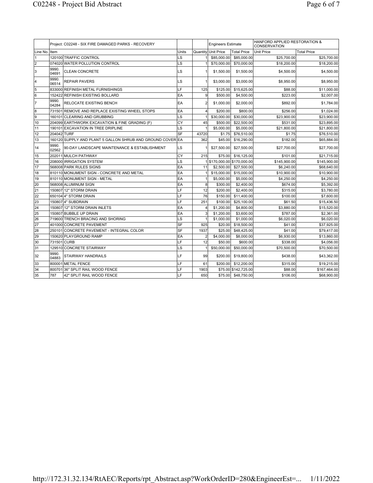|                | Project: C02248 - SIX FIRE DAMAGED PARKS - RECOVERY |                                                            |           |                | <b>Engineers Estimate</b>   |                      | HANFORD APPLIED RESTORATION &<br><b>CONSERVATION</b> |                    |  |
|----------------|-----------------------------------------------------|------------------------------------------------------------|-----------|----------------|-----------------------------|----------------------|------------------------------------------------------|--------------------|--|
| Line No.IItem  |                                                     |                                                            | Units     |                | Quantity Unit Price         | <b>Total Price</b>   | <b>Unit Price</b>                                    | <b>Total Price</b> |  |
| $\overline{1}$ |                                                     | 120100 TRAFFIC CONTROL                                     | LS        |                | \$85,000.00                 | \$85,000.00          | \$25,700.00                                          | \$25,700.00        |  |
| 2              |                                                     | 074020 WATER POLLUTION CONTROL                             | LS        |                | \$70,000.00                 | \$70,000.00          | \$18,200.00                                          | \$18,200.00        |  |
| 3              | 9990.<br>04691                                      | <b>CLEAN CONCRETE</b>                                      | LS        |                | \$1,500.00                  | \$1,500.00           | \$4,500.00                                           | \$4,500.00         |  |
| l4             | 9990.<br>06514                                      | <b>REPAIR PAVERS</b>                                       | LS        |                | \$3,000.00                  | \$3,000.00           | \$8,950.00                                           | \$8,950.00         |  |
| 5              |                                                     | 833000 REFINISH METAL FURNISHINGS                          | LF        | 125            | \$125.00                    | \$15,625.00          | \$88.00                                              | \$11,000.00        |  |
| 6              |                                                     | 152422 REFINISH EXISTING BOLLARD                           | EA        | 9              | \$500.00                    | \$4,500.00           | \$223.00                                             | \$2,007.00         |  |
| 17             | 9990.<br>04284                                      | RELOCATE EXISTING BENCH                                    | EA        | $\overline{2}$ | \$1,000.00                  | \$2,000.00           | \$892.00                                             | \$1,784.00         |  |
| 8              | 731501                                              | <b>REMOVE AND REPLACE EXISTING WHEEL STOPS</b>             | EA        | $\overline{4}$ | \$200.00                    | \$800.00             | \$256.00                                             | \$1,024.00         |  |
| 5              |                                                     | 160101 CLEARING AND GRUBBING                               | LS        |                | \$30,000.00                 | \$30,000.00          | \$23,900.00                                          | \$23,900.00        |  |
| 10             |                                                     | 204099 EARTHWORK EXCAVATION & FINE GRADING (F)             | CY        | 45             | \$500.00                    | \$22,500.00          | \$531.00                                             | \$23,895.00        |  |
| 11             |                                                     | 190101 EXCAVATION IN TREE DRIPLINE                         | LS        |                | \$5,000.00                  | \$5,000.00           | \$21,800.00                                          | \$21,800.00        |  |
| 12             | 204042 TURF                                         |                                                            | <b>SF</b> | 43720          | \$1.75                      | \$76,510.00          | \$1.75                                               | \$76,510.00        |  |
| 13             |                                                     | 160120 SUPPLY AND PLANT 5 GALLON SHRUB AND GROUND COVER EA |           | 362            | \$45.00                     | \$16,290.00          | \$182.00                                             | \$65,884.00        |  |
| 14             | 9990.<br>02562                                      | 90-DAY LANDSCAPE MAINTENANCE & ESTABLISHMENT               | LS        |                | \$27,500.00                 | \$27,500.00          | \$27,700.00                                          | \$27,700.00        |  |
| 15             |                                                     | 202011 MULCH PATHWAY                                       | СY        | 215            | \$75,00                     | \$16,125.00          | \$101.00                                             | \$21,715.00        |  |
| 16             |                                                     | 208000 RRIGATION SYSTEM                                    | LS        |                | 1 \$170,000.00 \$170,000.00 |                      | \$145,900.00                                         | \$145,900.00       |  |
| 17             |                                                     | 568008 PARK RULES SIGNS                                    | EA        | 11             | \$2,500.00                  | \$27,500.00          | \$6,240.00                                           | \$68,640.00        |  |
| 18             |                                                     | 810110 MONUMENT SIGN - CONCRETE AND METAL                  | EA        |                | \$15,000.00                 | \$15,000.00          | \$10,900.00                                          | \$10,900.00        |  |
| 19             |                                                     | 810110 MONUMENT SIGN - METAL                               | EA        | 11             | \$5,000.00]                 | \$5,000.00           | \$4,250.00                                           | \$4,250.00         |  |
| 20             |                                                     | 568008 ALUMINUM SIGN                                       | EA        | 8 <sup>1</sup> | \$300.00                    | \$2,400.00           | \$674.00                                             | \$5,392.00         |  |
| 21             |                                                     | 150807 12" STORM DRAIN                                     | LF        | 12             | \$200.00                    | \$2,400.00           | \$315.00                                             | \$3,780.00         |  |
| 22             |                                                     | 650104 4" STORM DRAIN                                      | LF        | 76             | \$150,00                    | \$11,400.00          | \$100.00                                             | \$7,600.00         |  |
| 23             |                                                     | 1508074" SUBDRAIN                                          | LF        | 251            | \$100.00                    | \$25,100.00          | \$61.50                                              | \$15,436.50        |  |
| 24             |                                                     | 150807 12" STORM DRAIN INLETS                              | EA        | $\frac{4}{ }$  | \$1,200.00                  | \$4,800.00           | \$3,880.00                                           | \$15,520.00        |  |
| 25             |                                                     | 150807 BUBBLE UP DRAIN                                     | EA        | 31             | \$1,200.00                  | \$3,600.00           | \$787.00                                             | \$2,361.00         |  |
| 26             |                                                     | 719600 TRENCH BRACING AND SHORING                          | LS        | 1              | \$1,000.00                  | \$1,000.00           | \$6,020.00                                           | \$6,020.00         |  |
| 27             |                                                     | 401000 CONCRETE PAVEMENT                                   | SF        | 925            | \$20.00                     | \$18,500.00          | \$41.00                                              | \$37,925.00        |  |
| 28             |                                                     | 250101 CONCRETE PAVEMENT - INTEGRAL COLOR                  | SF        | 1937           | \$25.00                     | \$48,425.00          | \$41.00                                              | \$79,417.00        |  |
| 29             |                                                     | 150620 PLAYGROUND RAMP                                     | EA        | $\overline{2}$ | \$4,000.00                  | \$8,000.00           | \$6,930.00                                           | \$13,860.00        |  |
| 30             | 731501 CURB                                         |                                                            | LF        | 12             | \$50.00                     | \$600.00             | \$338.00                                             | \$4,056.00         |  |
| 31             |                                                     | 129510 CONCRETE STAIRWAY                                   | LS        |                | \$50,000.00                 | \$50,000.00          | \$70,500.00                                          | \$70,500.00        |  |
| 32             | 9990.<br>04883                                      | <b>STAIRWAY HANDRAILS</b>                                  | LF        | 99             | \$200.00                    | \$19,800.00          | \$438.00                                             | \$43,362.00        |  |
| 33             | 800001                                              | <b>METAL FENCE</b>                                         | LF        | 61             | \$200.00                    | \$12,200.00          | \$315.00                                             | \$19,215.00        |  |
| 34             |                                                     | 800701 36" SPLIT RAIL WOOD FENCE                           | LF        | 1903           |                             | \$75.00 \$142,725.00 | \$88.00                                              | \$167,464.00       |  |
| 35             | 787                                                 | 42" SPLIT RAIL WOOD FENCE                                  | LF        | 650            | \$75.00                     | \$48,750.00          | \$106.00                                             | \$68,900.00        |  |